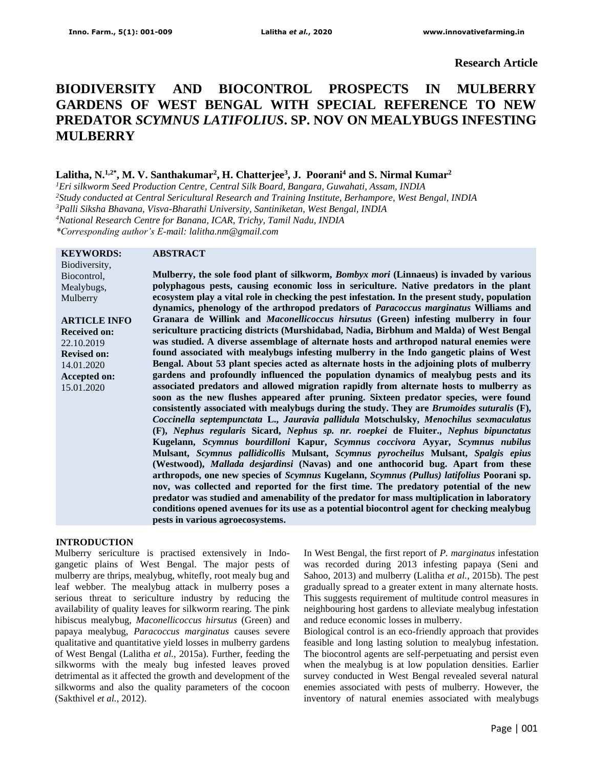**Research Article**

# **BIODIVERSITY AND BIOCONTROL PROSPECTS IN MULBERRY GARDENS OF WEST BENGAL WITH SPECIAL REFERENCE TO NEW PREDATOR** *SCYMNUS LATIFOLIUS***. SP. NOV ON MEALYBUGS INFESTING MULBERRY**

## **Lalitha, N.1,2\*, M. V. Santhakumar<sup>2</sup> , H. Chatterjee<sup>3</sup> , J. Poorani<sup>4</sup> and S. Nirmal Kumar<sup>2</sup>**

*Eri silkworm Seed Production Centre, Central Silk Board, Bangara, Guwahati, Assam, INDIA Study conducted at Central Sericultural Research and Training Institute, Berhampore, West Bengal, INDIA Palli Siksha Bhavana, Visva-Bharathi University, Santiniketan, West Bengal, INDIA National Research Centre for Banana, ICAR, Trichy, Tamil Nadu, INDIA \*Corresponding author's E-mail: lalitha.nm@gmail.com*

#### **KEYWORDS:**

#### **ABSTRACT**

Biodiversity, Biocontrol, Mealybugs, Mulberry

**ARTICLE INFO Received on:** 22.10.2019 **Revised on:** 14.01.2020 **Accepted on:** 15.01.2020

**Mulberry, the sole food plant of silkworm,** *Bombyx mori* **(Linnaeus) is invaded by various polyphagous pests, causing economic loss in sericulture. Native predators in the plant ecosystem play a vital role in checking the pest infestation. In the present study, population dynamics, phenology of the arthropod predators of** *Paracoccus marginatus* **Williams and Granara de Willink and** *Maconellicoccus hirsutus* **(Green) infesting mulberry in four sericulture practicing districts (Murshidabad, Nadia, Birbhum and Malda) of West Bengal was studied. A diverse assemblage of alternate hosts and arthropod natural enemies were found associated with mealybugs infesting mulberry in the Indo gangetic plains of West Bengal. About 53 plant species acted as alternate hosts in the adjoining plots of mulberry gardens and profoundly influenced the population dynamics of mealybug pests and its associated predators and allowed migration rapidly from alternate hosts to mulberry as soon as the new flushes appeared after pruning. Sixteen predator species, were found consistently associated with mealybugs during the study. They are** *Brumoides suturalis* **(F),**  *Coccinella septempunctata* **L.,** *Jauravia pallidula* **Motschulsky,** *Menochilus sexmaculatus* **(F),** *Nephus regularis* **Sicard,** *Nephus sp. nr. roepkei* **de Fluiter.,** *Nephus bipunctatus* **Kugelann,** *Scymnus bourdilloni* **Kapur,** *Scymnus coccivora* **Ayyar,** *Scymnus nubilus* **Mulsant,** *Scymnus pallidicollis* **Mulsant,** *Scymnus pyrocheilus* **Mulsant,** *Spalgis epius* **(Westwood),** *Mallada desjardinsi* **(Navas) and one anthocorid bug. Apart from these arthropods, one new species of** *Scymnus* **Kugelann,** *Scymnus (Pullus) latifolius* **Poorani sp. nov, was collected and reported for the first time. The predatory potential of the new predator was studied and amenability of the predator for mass multiplication in laboratory conditions opened avenues for its use as a potential biocontrol agent for checking mealybug pests in various agroecosystems.**

#### **INTRODUCTION**

Mulberry sericulture is practised extensively in Indogangetic plains of West Bengal. The major pests of mulberry are thrips, mealybug, whitefly, root mealy bug and leaf webber. The mealybug attack in mulberry poses a serious threat to sericulture industry by reducing the availability of quality leaves for silkworm rearing. The pink hibiscus mealybug, *Maconellicoccus hirsutus* (Green) and papaya mealybug, *Paracoccus marginatus* causes severe qualitative and quantitative yield losses in mulberry gardens of West Bengal (Lalitha *et al.,* 2015a). Further, feeding the silkworms with the mealy bug infested leaves proved detrimental as it affected the growth and development of the silkworms and also the quality parameters of the cocoon (Sakthivel *et al.,* 2012).

In West Bengal, the first report of *P. marginatus* infestation was recorded during 2013 infesting papaya (Seni and Sahoo, 2013) and mulberry (Lalitha *et al.,* 2015b). The pest gradually spread to a greater extent in many alternate hosts. This suggests requirement of multitude control measures in neighbouring host gardens to alleviate mealybug infestation and reduce economic losses in mulberry.

Biological control is an eco-friendly approach that provides feasible and long lasting solution to mealybug infestation. The biocontrol agents are self-perpetuating and persist even when the mealybug is at low population densities. Earlier survey conducted in West Bengal revealed several natural enemies associated with pests of mulberry. However, the inventory of natural enemies associated with mealybugs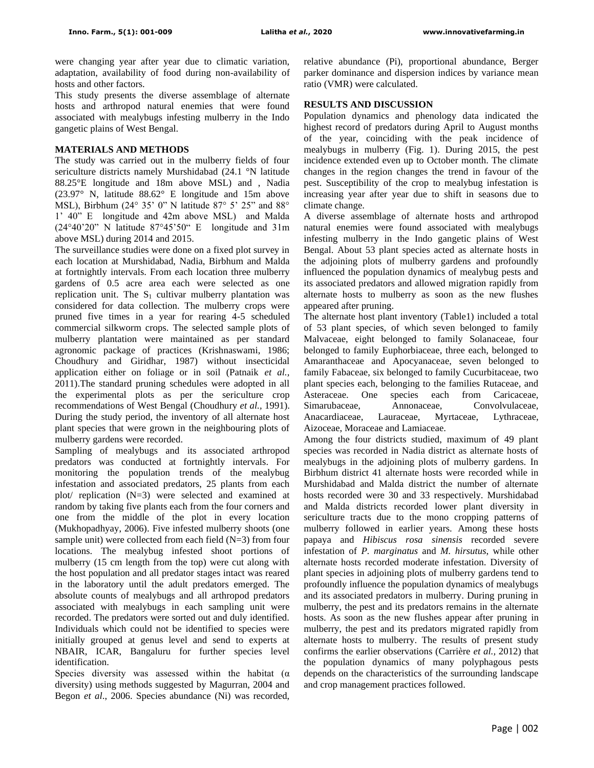were changing year after year due to climatic variation, adaptation, availability of food during non-availability of hosts and other factors.

This study presents the diverse assemblage of alternate hosts and arthropod natural enemies that were found associated with mealybugs infesting mulberry in the Indo gangetic plains of West Bengal.

## **MATERIALS AND METHODS**

The study was carried out in the mulberry fields of four sericulture districts namely Murshidabad (24.1 °N latitude 88.25°E longitude and 18m above MSL) and , Nadia (23.97° N, latitude 88.62° E longitude and 15m above MSL), Birbhum (24° 35' 0" N latitude 87° 5' 25" and 88° 1' 40" E longitude and 42m above MSL) and Malda (24°40'20" N latitude 87°45'50" E longitude and 31m above MSL) during 2014 and 2015.

The surveillance studies were done on a fixed plot survey in each location at Murshidabad, Nadia, Birbhum and Malda at fortnightly intervals. From each location three mulberry gardens of 0.5 acre area each were selected as one replication unit. The  $S_1$  cultivar mulberry plantation was considered for data collection. The mulberry crops were pruned five times in a year for rearing 4-5 scheduled commercial silkworm crops. The selected sample plots of mulberry plantation were maintained as per standard agronomic package of practices (Krishnaswami, 1986; Choudhury and Giridhar, 1987) without insecticidal application either on foliage or in soil (Patnaik *et al.,* 2011).The standard pruning schedules were adopted in all the experimental plots as per the sericulture crop recommendations of West Bengal (Choudhury *et al.,* 1991). During the study period, the inventory of all alternate host plant species that were grown in the neighbouring plots of mulberry gardens were recorded.

Sampling of mealybugs and its associated arthropod predators was conducted at fortnightly intervals. For monitoring the population trends of the mealybug infestation and associated predators, 25 plants from each plot/ replication (N=3) were selected and examined at random by taking five plants each from the four corners and one from the middle of the plot in every location (Mukhopadhyay, 2006). Five infested mulberry shoots (one sample unit) were collected from each field (N=3) from four locations. The mealybug infested shoot portions of mulberry (15 cm length from the top) were cut along with the host population and all predator stages intact was reared in the laboratory until the adult predators emerged. The absolute counts of mealybugs and all arthropod predators associated with mealybugs in each sampling unit were recorded. The predators were sorted out and duly identified. Individuals which could not be identified to species were initially grouped at genus level and send to experts at NBAIR, ICAR, Bangaluru for further species level identification.

Species diversity was assessed within the habitat  $(\alpha)$ diversity) using methods suggested by Magurran, 2004 and Begon *et al*., 2006. Species abundance (Ni) was recorded, relative abundance (Pi), proportional abundance, Berger parker dominance and dispersion indices by variance mean ratio (VMR) were calculated.

#### **RESULTS AND DISCUSSION**

Population dynamics and phenology data indicated the highest record of predators during April to August months of the year, coinciding with the peak incidence of mealybugs in mulberry (Fig. 1). During 2015, the pest incidence extended even up to October month. The climate changes in the region changes the trend in favour of the pest. Susceptibility of the crop to mealybug infestation is increasing year after year due to shift in seasons due to climate change.

A diverse assemblage of alternate hosts and arthropod natural enemies were found associated with mealybugs infesting mulberry in the Indo gangetic plains of West Bengal. About 53 plant species acted as alternate hosts in the adjoining plots of mulberry gardens and profoundly influenced the population dynamics of mealybug pests and its associated predators and allowed migration rapidly from alternate hosts to mulberry as soon as the new flushes appeared after pruning.

The alternate host plant inventory (Table1) included a total of 53 plant species, of which seven belonged to family Malvaceae, eight belonged to family Solanaceae, four belonged to family Euphorbiaceae, three each, belonged to Amaranthaceae and Apocyanaceae, seven belonged to family Fabaceae, six belonged to family Cucurbitaceae, two plant species each, belonging to the families Rutaceae, and Asteraceae. One species each from Caricaceae, Simarubaceae, Annonaceae, Convolvulaceae, Anacardiaceae, Lauraceae, Myrtaceae, Lythraceae, Aizoceae, Moraceae and Lamiaceae.

Among the four districts studied, maximum of 49 plant species was recorded in Nadia district as alternate hosts of mealybugs in the adjoining plots of mulberry gardens. In Birbhum district 41 alternate hosts were recorded while in Murshidabad and Malda district the number of alternate hosts recorded were 30 and 33 respectively. Murshidabad and Malda districts recorded lower plant diversity in sericulture tracts due to the mono cropping patterns of mulberry followed in earlier years. Among these hosts papaya and *Hibiscus rosa sinensis* recorded severe infestation of *P. marginatus* and *M. hirsutus*, while other alternate hosts recorded moderate infestation. Diversity of plant species in adjoining plots of mulberry gardens tend to profoundly influence the population dynamics of mealybugs and its associated predators in mulberry. During pruning in mulberry, the pest and its predators remains in the alternate hosts. As soon as the new flushes appear after pruning in mulberry, the pest and its predators migrated rapidly from alternate hosts to mulberry. The results of present study confirms the earlier observations (Carrière *et al.,* 2012) that the population dynamics of many polyphagous pests depends on the characteristics of the surrounding landscape and crop management practices followed.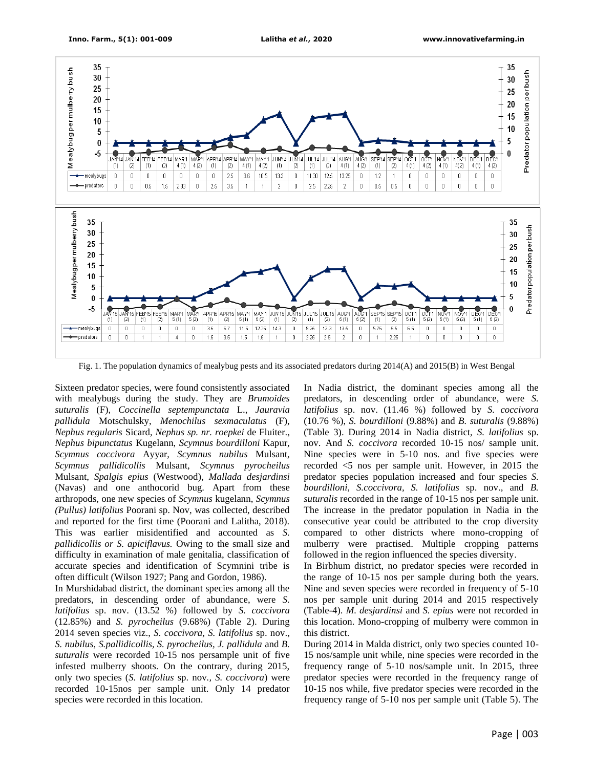

Fig. 1. The population dynamics of mealybug pests and its associated predators during 2014(A) and 2015(B) in West Bengal

Sixteen predator species, were found consistently associated with mealybugs during the study. They are *Brumoides suturalis* (F), *Coccinella septempunctata* L., *Jauravia pallidula* Motschulsky, *Menochilus sexmaculatus* (F), *Nephus regularis* Sicard, *Nephus sp. nr. roepkei* de Fluiter., *Nephus bipunctatus* Kugelann, *Scymnus bourdilloni* Kapur, *Scymnus coccivora* Ayyar, *Scymnus nubilus* Mulsant, *Scymnus pallidicollis* Mulsant, *Scymnus pyrocheilus* Mulsant, *Spalgis epius* (Westwood), *Mallada desjardinsi* (Navas) and one anthocorid bug. Apart from these arthropods, one new species of *Scymnus* kugelann, *Scymnus (Pullus) latifolius* Poorani sp. Nov, was collected, described and reported for the first time (Poorani and Lalitha, 2018). This was earlier misidentified and accounted as *S. pallidicollis or S. apiciflavus.* Owing to the small size and difficulty in examination of male genitalia, classification of accurate species and identification of Scymnini tribe is often difficult (Wilson 1927; Pang and Gordon, 1986).

In Murshidabad district, the dominant species among all the predators, in descending order of abundance, were *S. latifolius* sp. nov. (13.52 %) followed by *S. coccivora* (12.85%) and *S. pyrocheilus* (9.68%) (Table 2). During 2014 seven species viz., *S. coccivora, S. latifolius* sp. nov., *S. nubilus, S.pallidicollis, S. pyrocheilus, J. pallidula* and *B. suturalis* were recorded 10-15 nos persample unit of five infested mulberry shoots. On the contrary, during 2015, only two species (*S. latifolius* sp. nov*., S. coccivora*) were recorded 10-15nos per sample unit. Only 14 predator species were recorded in this location.

In Nadia district, the dominant species among all the predators, in descending order of abundance, were *S. latifolius* sp. nov. (11.46 %) followed by *S. coccivora* (10.76 %), *S. bourdilloni* (9.88%) and *B. suturalis* (9.88%) (Table 3). During 2014 in Nadia district, *S. latifolius* sp. nov. And *S. coccivora* recorded 10-15 nos/ sample unit. Nine species were in 5-10 nos. and five species were recorded <5 nos per sample unit. However, in 2015 the predator species population increased and four species *S. bourdilloni, S.coccivora, S. latifolius* sp. nov., and *B. suturalis* recorded in the range of 10-15 nos per sample unit. The increase in the predator population in Nadia in the consecutive year could be attributed to the crop diversity compared to other districts where mono-cropping of mulberry were practised. Multiple cropping patterns followed in the region influenced the species diversity.

In Birbhum district, no predator species were recorded in the range of 10-15 nos per sample during both the years. Nine and seven species were recorded in frequency of 5-10 nos per sample unit during 2014 and 2015 respectively (Table-4). *M. desjardinsi* and *S. epius* were not recorded in this location. Mono-cropping of mulberry were common in this district.

During 2014 in Malda district, only two species counted 10- 15 nos/sample unit while, nine species were recorded in the frequency range of 5-10 nos/sample unit. In 2015, three predator species were recorded in the frequency range of 10-15 nos while, five predator species were recorded in the frequency range of 5-10 nos per sample unit (Table 5). The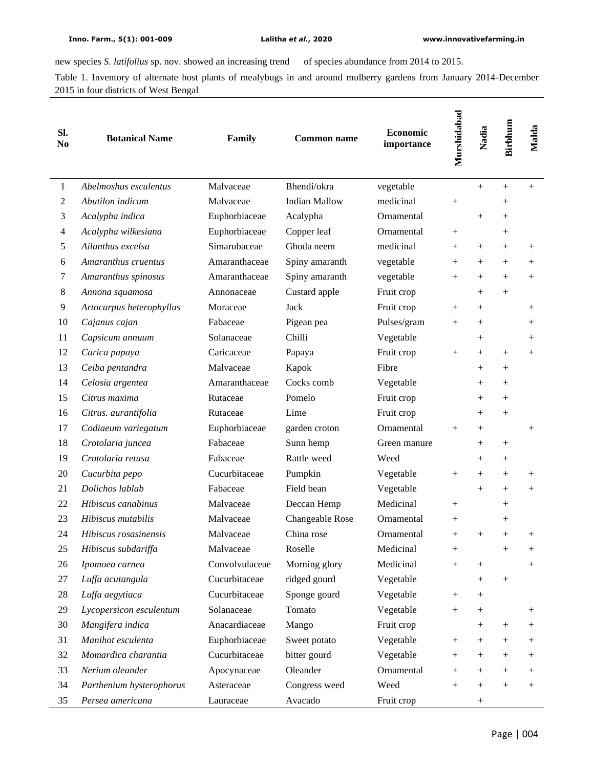÷,

new species *S. latifolius* sp. nov. showed an increasing trend of species abundance from 2014 to 2015.

Table 1. Inventory of alternate host plants of mealybugs in and around mulberry gardens from January 2014-December 2015 in four districts of West Bengal

| SI.<br>No | <b>Botanical Name</b>    | Family         | <b>Common name</b>   | Economic<br>importance | Murshidabad | Nadia              | Birbhum | Malda              |
|-----------|--------------------------|----------------|----------------------|------------------------|-------------|--------------------|---------|--------------------|
| 1         | Abelmoshus esculentus    | Malvaceae      | Bhendi/okra          | vegetable              |             | $+$                | $^{+}$  | $+$                |
| 2         | Abutilon indicum         | Malvaceae      | <b>Indian Mallow</b> | medicinal              | $^{+}$      |                    | $^{+}$  |                    |
| 3         | Acalypha indica          | Euphorbiaceae  | Acalypha             | Ornamental             |             | $^{+}$             | $^{+}$  |                    |
| 4         | Acalypha wilkesiana      | Euphorbiaceae  | Copper leaf          | Ornamental             | $+$         |                    | $^{+}$  |                    |
| 5         | Ailanthus excelsa        | Simarubaceae   | Ghoda neem           | medicinal              | $^{+}$      | $^{+}$             | $^{+}$  | $^{+}$             |
| 6         | Amaranthus cruentus      | Amaranthaceae  | Spiny amaranth       | vegetable              | $+$         | $+$                | $^{+}$  | $^{+}$             |
| 7         | Amaranthus spinosus      | Amaranthaceae  | Spiny amaranth       | vegetable              | $+$         | $^{+}$             | $^{+}$  | $+$                |
| 8         | Annona squamosa          | Annonaceae     | Custard apple        | Fruit crop             |             | $^{+}$             | $^{+}$  |                    |
| 9         | Artocarpus heterophyllus | Moraceae       | Jack                 | Fruit crop             | $^{+}$      | $+$                |         | $^{+}$             |
| 10        | Cajanus cajan            | Fabaceae       | Pigean pea           | Pulses/gram            | $^{+}$      | $^{+}$             |         | $^{+}$             |
| 11        | Capsicum annuum          | Solanaceae     | Chilli               | Vegetable              |             | $^{+}$             |         | $^{+}$             |
| 12        | Carica papaya            | Caricaceae     | Papaya               | Fruit crop             | $^{+}$      | $+$                | $^{+}$  | $^{+}$             |
| 13        | Ceiba pentandra          | Malvaceae      | Kapok                | Fibre                  |             | $^{+}$             | $^{+}$  |                    |
| 14        | Celosia argentea         | Amaranthaceae  | Cocks comb           | Vegetable              |             | $^{+}$             | $^{+}$  |                    |
| 15        | Citrus maxima            | Rutaceae       | Pomelo               | Fruit crop             |             | $\hspace{0.1mm} +$ | $^{+}$  |                    |
| 16        | Citrus. aurantifolia     | Rutaceae       | Lime                 | Fruit crop             |             | $^{+}$             | $^{+}$  |                    |
| 17        | Codiaeum variegatum      | Euphorbiaceae  | garden croton        | Ornamental             | $+$         | $^{+}$             |         | $^{+}$             |
| 18        | Crotolaria juncea        | Fabaceae       | Sunn hemp            | Green manure           |             | $^{+}$             | $^{+}$  |                    |
| 19        | Crotolaria retusa        | Fabaceae       | Rattle weed          | Weed                   |             | $^{+}$             | $^{+}$  |                    |
| 20        | Cucurbita pepo           | Cucurbitaceae  | Pumpkin              | Vegetable              | $^{+}$      | $^{+}$             | $^{+}$  | $^{+}$             |
| 21        | Dolichos lablab          | Fabaceae       | Field bean           | Vegetable              |             | $+$                | $^{+}$  | $^{+}$             |
| 22        | Hibiscus canabinus       | Malvaceae      | Deccan Hemp          | Medicinal              | $+$         |                    | $^{+}$  |                    |
| 23        | Hibiscus mutabilis       | Malvaceae      | Changeable Rose      | Ornamental             | $^{+}$      |                    | $^{+}$  |                    |
| 24        | Hibiscus rosasinensis    | Malvaceae      | China rose           | Ornamental             | $^{+}$      | $+$                | $^{+}$  | $^{+}$             |
| 25        | Hibiscus subdariffa      | Malvaceae      | Roselle              | Medicinal              | $^{+}$      |                    | $^+$    | $^+$               |
| 26        | Ipomoea carnea           | Convolvulaceae | Morning glory        | Medicinal              | $^{+}$      | $^{+}$             |         |                    |
| 27        | Luffa acutangula         | Cucurbitaceae  | ridged gourd         | Vegetable              |             | $^{+}$             | $^{+}$  |                    |
| 28        | Luffa aegytiaca          | Cucurbitaceae  | Sponge gourd         | Vegetable              | $^{+}$      | $^{+}$             |         |                    |
| 29        | Lycopersicon esculentum  | Solanaceae     | Tomato               | Vegetable              | $+$         | $^{+}$             |         | $^{+}$             |
| 30        | Mangifera indica         | Anacardiaceae  | Mango                | Fruit crop             |             | $^{+}$             | $^+$    | $\hspace{0.1mm} +$ |
| 31        | Manihot esculenta        | Euphorbiaceae  | Sweet potato         | Vegetable              | $^{+}$      | $^{+}$             | $^{+}$  | $^{+}$             |
| 32        | Momardica charantia      | Cucurbitaceae  | bitter gourd         | Vegetable              | $^{+}$      | $^{+}$             | $^{+}$  | $^{+}$             |
| 33        | Nerium oleander          | Apocynaceae    | Oleander             | Ornamental             | $^{+}$      | $^{+}$             | $^{+}$  | $^{+}$             |
| 34        | Parthenium hysterophorus | Asteraceae     | Congress weed        | Weed                   | $^{+}$      | $^{+}$             | $^{+}$  | $^{+}$             |
| 35        | Persea americana         | Lauraceae      | Avacado              | Fruit crop             |             | $^{+}$             |         |                    |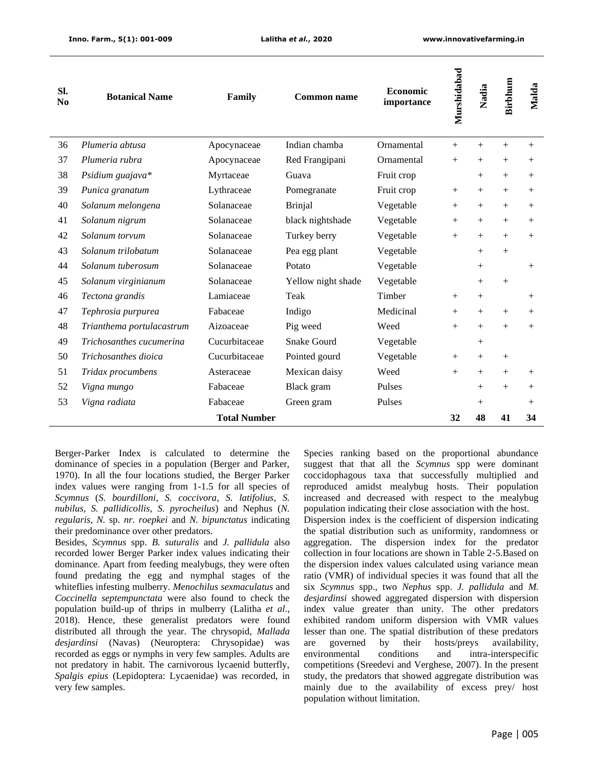| Sl.<br>N <sub>0</sub> | <b>Botanical Name</b>     | Family              | <b>Common name</b> | <b>Economic</b><br>importance | Murshidabad | Nadia  | Birbhum | Malda  |
|-----------------------|---------------------------|---------------------|--------------------|-------------------------------|-------------|--------|---------|--------|
| 36                    | Plumeria abtusa           | Apocynaceae         | Indian chamba      | Ornamental                    | $^{+}$      | $+$    | $^{+}$  | $+$    |
| 37                    | Plumeria rubra            | Apocynaceae         | Red Frangipani     | Ornamental                    | $+$         | $^{+}$ | $^{+}$  | $^{+}$ |
| 38                    | Psidium guajava*          | Myrtaceae           | Guava              | Fruit crop                    |             | $+$    | $+$     | $+$    |
| 39                    | Punica granatum           | Lythraceae          | Pomegranate        | Fruit crop                    | $+$         | $+$    | $^{+}$  | $^{+}$ |
| 40                    | Solanum melongena         | Solanaceae          | <b>Brinjal</b>     | Vegetable                     | $+$         | $^{+}$ | $^{+}$  | $^{+}$ |
| 41                    | Solanum nigrum            | Solanaceae          | black nightshade   | Vegetable                     | $+$         | $+$    | $+$     | $^{+}$ |
| 42                    | Solanum torvum            | Solanaceae          | Turkey berry       | Vegetable                     | $^{+}$      | $+$    | $^{+}$  | $+$    |
| 43                    | Solanum trilobatum        | Solanaceae          | Pea egg plant      | Vegetable                     |             | $+$    | $^{+}$  |        |
| 44                    | Solanum tuberosum         | Solanaceae          | Potato             | Vegetable                     |             | $+$    |         | $^{+}$ |
| 45                    | Solanum virginianum       | Solanaceae          | Yellow night shade | Vegetable                     |             | $^{+}$ | $^{+}$  |        |
| 46                    | Tectona grandis           | Lamiaceae           | Teak               | Timber                        | $^{+}$      | $+$    |         | $^{+}$ |
| 47                    | Tephrosia purpurea        | Fabaceae            | Indigo             | Medicinal                     | $^{+}$      | $+$    | $^{+}$  | $^{+}$ |
| 48                    | Trianthema portulacastrum | Aizoaceae           | Pig weed           | Weed                          | $^{+}$      | $^{+}$ | $^{+}$  | $^{+}$ |
| 49                    | Trichosanthes cucumerina  | Cucurbitaceae       | Snake Gourd        | Vegetable                     |             | $+$    |         |        |
| 50                    | Trichosanthes dioica      | Cucurbitaceae       | Pointed gourd      | Vegetable                     | $+$         | $+$    | $^{+}$  |        |
| 51                    | Tridax procumbens         | Asteraceae          | Mexican daisy      | Weed                          | $^{+}$      | $^{+}$ | $^{+}$  | $+$    |
| 52                    | Vigna mungo               | Fabaceae            | Black gram         | Pulses                        |             | $^{+}$ | $^{+}$  | $^{+}$ |
| 53                    | Vigna radiata             | Fabaceae            | Green gram         | Pulses                        |             | $^{+}$ |         | $^{+}$ |
|                       |                           | <b>Total Number</b> |                    |                               | 32          | 48     | 41      | 34     |

Berger-Parker Index is calculated to determine the dominance of species in a population (Berger and Parker, 1970). In all the four locations studied, the Berger Parker index values were ranging from 1-1.5 for all species of *Scymnus* (*S. bourdilloni*, *S. coccivora*, *S. latifolius*, *S. nubilus, S. pallidicollis*, *S. pyrocheilus*) and Nephus (*N. regularis, N.* sp*. nr. roepkei* and *N. bipunctatus* indicating their predominance over other predators.

Besides, *Scymnus* spp. *B. suturalis* and *J. pallidula* also recorded lower Berger Parker index values indicating their dominance. Apart from feeding mealybugs, they were often found predating the egg and nymphal stages of the whiteflies infesting mulberry. *Menochilus sexmaculatus* and *Coccinella septempunctata* were also found to check the population build-up of thrips in mulberry (Lalitha *et al*., 2018). Hence, these generalist predators were found distributed all through the year. The chrysopid, *Mallada desjardinsi* (Navas) (Neuroptera: Chrysopidae) was recorded as eggs or nymphs in very few samples. Adults are not predatory in habit. The carnivorous lycaenid butterfly, *Spalgis epius* (Lepidoptera: Lycaenidae) was recorded, in very few samples.

Species ranking based on the proportional abundance suggest that that all the *Scymnus* spp were dominant coccidophagous taxa that successfully multiplied and reproduced amidst mealybug hosts. Their population increased and decreased with respect to the mealybug population indicating their close association with the host. Dispersion index is the coefficient of dispersion indicating the spatial distribution such as uniformity, randomness or aggregation. The dispersion index for the predator collection in four locations are shown in Table 2-5.Based on the dispersion index values calculated using variance mean ratio (VMR) of individual species it was found that all the six *Scymnus* spp., two *Nephus* spp. *J. pallidula* and *M. desjardinsi* showed aggregated dispersion with dispersion index value greater than unity. The other predators exhibited random uniform dispersion with VMR values lesser than one. The spatial distribution of these predators are governed by their hosts/preys availability, environmental conditions and intra-interspecific competitions (Sreedevi and Verghese, 2007). In the present study, the predators that showed aggregate distribution was mainly due to the availability of excess prey/ host population without limitation.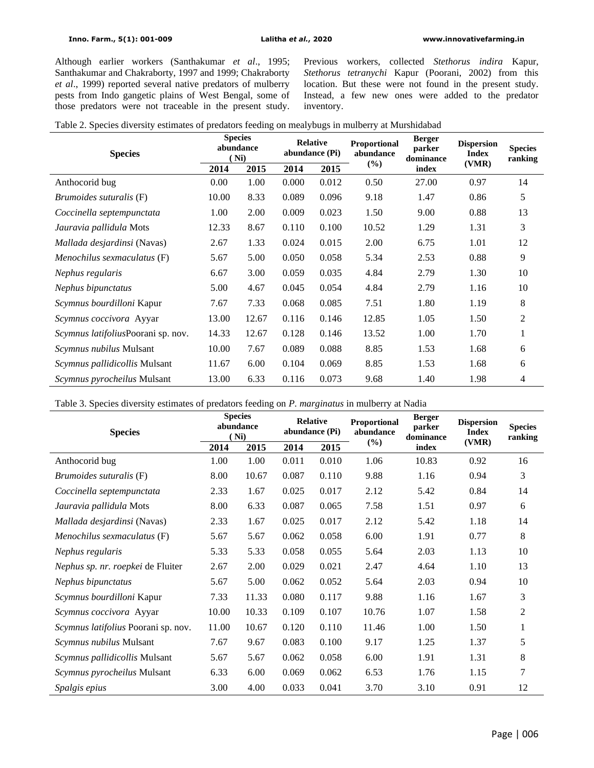Although earlier workers (Santhakumar *et al*., 1995; Santhakumar and Chakraborty, 1997 and 1999; Chakraborty *et al*., 1999) reported several native predators of mulberry pests from Indo gangetic plains of West Bengal, some of those predators were not traceable in the present study.

Previous workers, collected *Stethorus indira* Kapur, *Stethorus tetranychi* Kapur (Poorani, 2002) from this location. But these were not found in the present study. Instead, a few new ones were added to the predator inventory.

|  | Table 2. Species diversity estimates of predators feeding on mealybugs in mulberry at Murshidabad |  |  |  |
|--|---------------------------------------------------------------------------------------------------|--|--|--|
|  |                                                                                                   |  |  |  |

| <b>Species</b>                     | <b>Species</b><br>abundance<br>Ni) |       | <b>Relative</b><br>abundance (Pi) |       | Proportional<br>abundance | <b>Berger</b><br>parker<br>dominance | <b>Dispersion</b><br><b>Index</b> | <b>Species</b><br>ranking |  |
|------------------------------------|------------------------------------|-------|-----------------------------------|-------|---------------------------|--------------------------------------|-----------------------------------|---------------------------|--|
|                                    | 2014                               | 2015  | 2014                              | 2015  | $(\%)$                    | index                                | (VMR)                             |                           |  |
| Anthocorid bug                     | 0.00                               | 1.00  | 0.000                             | 0.012 | 0.50                      | 27.00                                | 0.97                              | 14                        |  |
| <i>Brumoides suturalis</i> (F)     | 10.00                              | 8.33  | 0.089                             | 0.096 | 9.18                      | 1.47                                 | 0.86                              | 5                         |  |
| Coccinella septempunctata          | 1.00                               | 2.00  | 0.009                             | 0.023 | 1.50                      | 9.00                                 | 0.88                              | 13                        |  |
| Jauravia pallidula Mots            | 12.33                              | 8.67  | 0.110                             | 0.100 | 10.52                     | 1.29                                 | 1.31                              | 3                         |  |
| Mallada desjardinsi (Navas)        | 2.67                               | 1.33  | 0.024                             | 0.015 | 2.00                      | 6.75                                 | 1.01                              | 12                        |  |
| Menochilus sexmaculatus (F)        | 5.67                               | 5.00  | 0.050                             | 0.058 | 5.34                      | 2.53                                 | 0.88                              | 9                         |  |
| Nephus regularis                   | 6.67                               | 3.00  | 0.059                             | 0.035 | 4.84                      | 2.79                                 | 1.30                              | 10                        |  |
| Nephus bipunctatus                 | 5.00                               | 4.67  | 0.045                             | 0.054 | 4.84                      | 2.79                                 | 1.16                              | 10                        |  |
| Scymnus bourdilloni Kapur          | 7.67                               | 7.33  | 0.068                             | 0.085 | 7.51                      | 1.80                                 | 1.19                              | 8                         |  |
| Scymnus coccivora Ayyar            | 13.00                              | 12.67 | 0.116                             | 0.146 | 12.85                     | 1.05                                 | 1.50                              | $\overline{2}$            |  |
| Scymnus latifoliusPoorani sp. nov. | 14.33                              | 12.67 | 0.128                             | 0.146 | 13.52                     | 1.00                                 | 1.70                              | $\mathbf{1}$              |  |
| Scymnus nubilus Mulsant            | 10.00                              | 7.67  | 0.089                             | 0.088 | 8.85                      | 1.53                                 | 1.68                              | 6                         |  |
| Scymnus pallidicollis Mulsant      | 11.67                              | 6.00  | 0.104                             | 0.069 | 8.85                      | 1.53                                 | 1.68                              | 6                         |  |
| Scymnus pyrocheilus Mulsant        | 13.00                              | 6.33  | 0.116                             | 0.073 | 9.68                      | 1.40                                 | 1.98                              | 4                         |  |

Table 3. Species diversity estimates of predators feeding on *P. marginatus* in mulberry at Nadia

| <b>Species</b>                      | <b>Species</b><br>abundance<br>(Ni) |       | <b>Relative</b><br>abundance (Pi) |       | Proportional<br>abundance | <b>Berger</b><br>parker<br>dominance | <b>Dispersion</b><br><b>Index</b> | <b>Species</b><br>ranking |
|-------------------------------------|-------------------------------------|-------|-----------------------------------|-------|---------------------------|--------------------------------------|-----------------------------------|---------------------------|
|                                     | 2014                                | 2015  | 2014                              | 2015  | $(\%)$                    | index                                | (VMR)                             |                           |
| Anthocorid bug                      | 1.00                                | 1.00  | 0.011                             | 0.010 | 1.06                      | 10.83                                | 0.92                              | 16                        |
| Brumoides suturalis (F)             | 8.00                                | 10.67 | 0.087                             | 0.110 | 9.88                      | 1.16                                 | 0.94                              | 3                         |
| Coccinella septempunctata           | 2.33                                | 1.67  | 0.025                             | 0.017 | 2.12                      | 5.42                                 | 0.84                              | 14                        |
| Jauravia pallidula Mots             | 8.00                                | 6.33  | 0.087                             | 0.065 | 7.58                      | 1.51                                 | 0.97                              | 6                         |
| Mallada desjardinsi (Navas)         | 2.33                                | 1.67  | 0.025                             | 0.017 | 2.12                      | 5.42                                 | 1.18                              | 14                        |
| Menochilus sexmaculatus (F)         | 5.67                                | 5.67  | 0.062                             | 0.058 | 6.00                      | 1.91                                 | 0.77                              | 8                         |
| Nephus regularis                    | 5.33                                | 5.33  | 0.058                             | 0.055 | 5.64                      | 2.03                                 | 1.13                              | 10                        |
| Nephus sp. nr. roepkei de Fluiter   | 2.67                                | 2.00  | 0.029                             | 0.021 | 2.47                      | 4.64                                 | 1.10                              | 13                        |
| Nephus bipunctatus                  | 5.67                                | 5.00  | 0.062                             | 0.052 | 5.64                      | 2.03                                 | 0.94                              | 10                        |
| Scymnus bourdilloni Kapur           | 7.33                                | 11.33 | 0.080                             | 0.117 | 9.88                      | 1.16                                 | 1.67                              | 3                         |
| Scymnus coccivora Ayyar             | 10.00                               | 10.33 | 0.109                             | 0.107 | 10.76                     | 1.07                                 | 1.58                              | 2                         |
| Scymnus latifolius Poorani sp. nov. | 11.00                               | 10.67 | 0.120                             | 0.110 | 11.46                     | 1.00                                 | 1.50                              | 1                         |
| Scymnus nubilus Mulsant             | 7.67                                | 9.67  | 0.083                             | 0.100 | 9.17                      | 1.25                                 | 1.37                              | 5                         |
| Scymnus pallidicollis Mulsant       | 5.67                                | 5.67  | 0.062                             | 0.058 | 6.00                      | 1.91                                 | 1.31                              | 8                         |
| Scymnus pyrocheilus Mulsant         | 6.33                                | 6.00  | 0.069                             | 0.062 | 6.53                      | 1.76                                 | 1.15                              | 7                         |
| Spalgis epius                       | 3.00                                | 4.00  | 0.033                             | 0.041 | 3.70                      | 3.10                                 | 0.91                              | 12                        |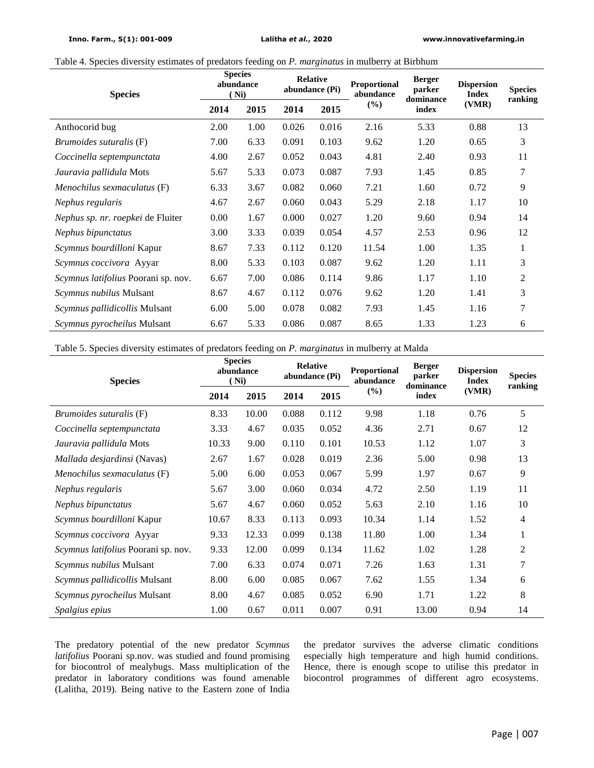Table 4. Species diversity estimates of predators feeding on *P. marginatus* in mulberry at Birbhum

| <b>Species</b>                      | <b>Species</b><br>abundance<br>Ni) |      | <b>Relative</b><br>abundance (Pi) |       | Proportional<br>abundance | <b>Berger</b><br>parker<br>dominance | <b>Dispersion</b><br><b>Index</b> | <b>Species</b><br>ranking |  |
|-------------------------------------|------------------------------------|------|-----------------------------------|-------|---------------------------|--------------------------------------|-----------------------------------|---------------------------|--|
|                                     | 2014                               | 2015 | 2014                              | 2015  | (%)                       | index                                | (VMR)                             |                           |  |
| Anthocorid bug                      | 2.00                               | 1.00 | 0.026                             | 0.016 | 2.16                      | 5.33                                 | 0.88                              | 13                        |  |
| Brumoides suturalis (F)             | 7.00                               | 6.33 | 0.091                             | 0.103 | 9.62                      | 1.20                                 | 0.65                              | 3                         |  |
| Coccinella septempunctata           | 4.00                               | 2.67 | 0.052                             | 0.043 | 4.81                      | 2.40                                 | 0.93                              | 11                        |  |
| Jauravia pallidula Mots             | 5.67                               | 5.33 | 0.073                             | 0.087 | 7.93                      | 1.45                                 | 0.85                              | 7                         |  |
| Menochilus sexmaculatus (F)         | 6.33                               | 3.67 | 0.082                             | 0.060 | 7.21                      | 1.60                                 | 0.72                              | 9                         |  |
| Nephus regularis                    | 4.67                               | 2.67 | 0.060                             | 0.043 | 5.29                      | 2.18                                 | 1.17                              | 10                        |  |
| Nephus sp. nr. roepkei de Fluiter   | 0.00                               | 1.67 | 0.000                             | 0.027 | 1.20                      | 9.60                                 | 0.94                              | 14                        |  |
| Nephus bipunctatus                  | 3.00                               | 3.33 | 0.039                             | 0.054 | 4.57                      | 2.53                                 | 0.96                              | 12                        |  |
| Scymnus bourdilloni Kapur           | 8.67                               | 7.33 | 0.112                             | 0.120 | 11.54                     | 1.00                                 | 1.35                              | 1                         |  |
| Scymnus coccivora Ayyar             | 8.00                               | 5.33 | 0.103                             | 0.087 | 9.62                      | 1.20                                 | 1.11                              | 3                         |  |
| Scymnus latifolius Poorani sp. nov. | 6.67                               | 7.00 | 0.086                             | 0.114 | 9.86                      | 1.17                                 | 1.10                              | 2                         |  |
| <i>Scymnus nubilus</i> Mulsant      | 8.67                               | 4.67 | 0.112                             | 0.076 | 9.62                      | 1.20                                 | 1.41                              | 3                         |  |
| Scymnus pallidicollis Mulsant       | 6.00                               | 5.00 | 0.078                             | 0.082 | 7.93                      | 1.45                                 | 1.16                              | 7                         |  |
| Scymnus pyrocheilus Mulsant         | 6.67                               | 5.33 | 0.086                             | 0.087 | 8.65                      | 1.33                                 | 1.23                              | 6                         |  |

Table 5. Species diversity estimates of predators feeding on *P. marginatus* in mulberry at Malda

| <b>Species</b>                      | <b>Species</b><br>abundance<br>(Ni) |       | <b>Relative</b><br>abundance (Pi) |       | Proportional<br>abundance | <b>Berger</b><br>parker<br>dominance | <b>Dispersion</b><br><b>Index</b> | <b>Species</b><br>ranking |  |
|-------------------------------------|-------------------------------------|-------|-----------------------------------|-------|---------------------------|--------------------------------------|-----------------------------------|---------------------------|--|
|                                     | 2014                                | 2015  | 2014                              | 2015  | $(\%)$                    | index                                | (VMR)                             |                           |  |
| <i>Brumoides suturalis</i> (F)      | 8.33                                | 10.00 | 0.088                             | 0.112 | 9.98                      | 1.18                                 | 0.76                              | 5                         |  |
| Coccinella septempunctata           | 3.33                                | 4.67  | 0.035                             | 0.052 | 4.36                      | 2.71                                 | 0.67                              | 12                        |  |
| Jauravia pallidula Mots             | 10.33                               | 9.00  | 0.110                             | 0.101 | 10.53                     | 1.12                                 | 1.07                              | 3                         |  |
| <i>Mallada desjardinsi</i> (Navas)  | 2.67                                | 1.67  | 0.028                             | 0.019 | 2.36                      | 5.00                                 | 0.98                              | 13                        |  |
| Menochilus sexmaculatus (F)         | 5.00                                | 6.00  | 0.053                             | 0.067 | 5.99                      | 1.97                                 | 0.67                              | 9                         |  |
| Nephus regularis                    | 5.67                                | 3.00  | 0.060                             | 0.034 | 4.72                      | 2.50                                 | 1.19                              | 11                        |  |
| Nephus bipunctatus                  | 5.67                                | 4.67  | 0.060                             | 0.052 | 5.63                      | 2.10                                 | 1.16                              | 10                        |  |
| Scymnus bourdilloni Kapur           | 10.67                               | 8.33  | 0.113                             | 0.093 | 10.34                     | 1.14                                 | 1.52                              | 4                         |  |
| Scymnus coccivora Ayyar             | 9.33                                | 12.33 | 0.099                             | 0.138 | 11.80                     | 1.00                                 | 1.34                              | 1                         |  |
| Scymnus latifolius Poorani sp. nov. | 9.33                                | 12.00 | 0.099                             | 0.134 | 11.62                     | 1.02                                 | 1.28                              | 2                         |  |
| <i>Scymnus nubilus</i> Mulsant      | 7.00                                | 6.33  | 0.074                             | 0.071 | 7.26                      | 1.63                                 | 1.31                              | 7                         |  |
| Scymnus pallidicollis Mulsant       | 8.00                                | 6.00  | 0.085                             | 0.067 | 7.62                      | 1.55                                 | 1.34                              | 6                         |  |
| Scymnus pyrocheilus Mulsant         | 8.00                                | 4.67  | 0.085                             | 0.052 | 6.90                      | 1.71                                 | 1.22                              | 8                         |  |
| Spalgius epius                      | 1.00                                | 0.67  | 0.011                             | 0.007 | 0.91                      | 13.00                                | 0.94                              | 14                        |  |

The predatory potential of the new predator *Scymnus latifolius* Poorani sp.nov. was studied and found promising for biocontrol of mealybugs. Mass multiplication of the predator in laboratory conditions was found amenable (Lalitha, 2019). Being native to the Eastern zone of India the predator survives the adverse climatic conditions especially high temperature and high humid conditions. Hence, there is enough scope to utilise this predator in biocontrol programmes of different agro ecosystems.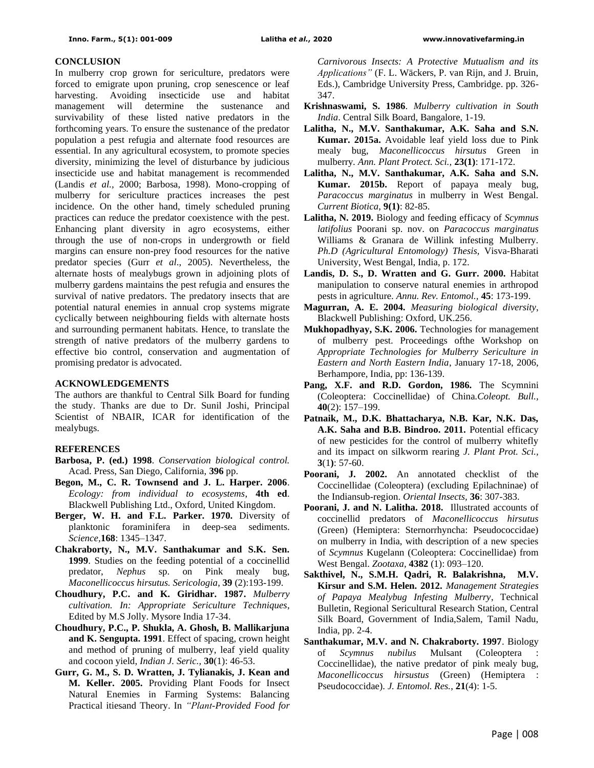#### **CONCLUSION**

In mulberry crop grown for sericulture, predators were forced to emigrate upon pruning, crop senescence or leaf harvesting. Avoiding insecticide use and habitat management will determine the sustenance and survivability of these listed native predators in the forthcoming years. To ensure the sustenance of the predator population a pest refugia and alternate food resources are essential. In any agricultural ecosystem, to promote species diversity, minimizing the level of disturbance by judicious insecticide use and habitat management is recommended (Landis *et al.,* 2000; Barbosa, 1998). Mono-cropping of mulberry for sericulture practices increases the pest incidence. On the other hand, timely scheduled pruning practices can reduce the predator coexistence with the pest. Enhancing plant diversity in agro ecosystems, either through the use of non-crops in undergrowth or field margins can ensure non-prey food resources for the native predator species (Gurr *et al*., 2005). Nevertheless, the alternate hosts of mealybugs grown in adjoining plots of mulberry gardens maintains the pest refugia and ensures the survival of native predators. The predatory insects that are potential natural enemies in annual crop systems migrate cyclically between neighbouring fields with alternate hosts and surrounding permanent habitats. Hence, to translate the strength of native predators of the mulberry gardens to effective bio control, conservation and augmentation of promising predator is advocated.

#### **ACKNOWLEDGEMENTS**

The authors are thankful to Central Silk Board for funding the study. Thanks are due to Dr. Sunil Joshi, Principal Scientist of NBAIR, ICAR for identification of the mealybugs.

## **REFERENCES**

- **Barbosa, P. (ed.) 1998**. *Conservation biological control.* Acad. Press, San Diego, California, **396** pp.
- **Begon, M., C. R. Townsend and J. L. Harper. 2006**. *Ecology: from individual to ecosystems*, **4th ed**. Blackwell Publishing Ltd., Oxford, United Kingdom.
- **Berger, W. H. and F.L. Parker. 1970.** Diversity of planktonic foraminifera in deep-sea sediments. *Science,***168**: 1345–1347.
- **Chakraborty, N., M.V. Santhakumar and S.K. Sen. 1999**. Studies on the feeding potential of a coccinellid predator, *Nephus* sp. on Pink mealy bug, *Maconellicoccus hirsutus. Sericologia*, **39** (2):193-199.
- **Choudhury, P.C. and K. Giridhar. 1987.** *Mulberry cultivation. In: Appropriate Sericulture Techniques*, Edited by M.S Jolly. Mysore India 17-34.
- **Choudhury, P.C., P. Shukla, A. Ghosh, B. Mallikarjuna and K. Sengupta. 1991**. Effect of spacing, crown height and method of pruning of mulberry, leaf yield quality and cocoon yield, *Indian J. Seric.,* **30**(1): 46-53.
- **Gurr, G. M., S. D. Wratten, J. Tylianakis, J. Kean and M. Keller. 2005.** Providing Plant Foods for Insect Natural Enemies in Farming Systems: Balancing Practical itiesand Theory. In *"Plant-Provided Food for*

*Carnivorous Insects: A Protective Mutualism and its Applications"* (F. L. Wäckers, P. van Rijn, and J. Bruin, Eds.), Cambridge University Press, Cambridge. pp. 326- 347.

- **Krishnaswami, S. 1986**. *Mulberry cultivation in South India*. Central Silk Board, Bangalore, 1-19.
- **Lalitha, N., M.V. Santhakumar, A.K. Saha and S.N. Kumar. 2015a.** Avoidable leaf yield loss due to Pink mealy bug, *Maconellicoccus hirsutus* Green in mulberry*. Ann. Plant Protect. Sci.,* **23(1)**: 171-172.
- **Lalitha, N., M.V. Santhakumar, A.K. Saha and S.N. Kumar. 2015b.** Report of papaya mealy bug, *Paracoccus marginatus* in mulberry in West Bengal. *Current Biotica*, **9(1)**: 82-85.
- **Lalitha, N. 2019.** Biology and feeding efficacy of *Scymnus latifolius* Poorani sp. nov. on *Paracoccus marginatus* Williams & Granara de Willink infesting Mulberry. *Ph.D (Agricultural Entomology) Thesis,* Visva-Bharati University, West Bengal, India, p. 172.
- **Landis, D. S., D. Wratten and G. Gurr. 2000.** Habitat manipulation to conserve natural enemies in arthropod pests in agriculture. *Annu. Rev. Entomol.,* **45**: 173-199.
- **Magurran, A. E. 2004.** *Measuring biological diversity*, Blackwell Publishing: Oxford, UK.256.
- **Mukhopadhyay, S.K. 2006.** Technologies for management of mulberry pest. Proceedings ofthe Workshop on *Appropriate Technologies for Mulberry Sericulture in Eastern and North Eastern India*, January 17-18, 2006, Berhampore, India, pp: 136-139.
- Pang, X.F. and R.D. Gordon, 1986. The Scymnini (Coleoptera: Coccinellidae) of China.*Coleopt. Bull.,*  **40**(2): 157–199.
- **Patnaik, M., D.K. Bhattacharya, N.B. Kar, N.K. Das, A.K. Saha and B.B. Bindroo. 2011.** Potential efficacy of new pesticides for the control of mulberry whitefly and its impact on silkworm rearing *J. Plant Prot. Sci.,*  **3**(1**)**: 57-60.
- **Poorani, J. 2002.** An annotated checklist of the Coccinellidae (Coleoptera) (excluding Epilachninae) of the Indiansub-region. *Oriental Insects,* **36**: 307-383.
- **Poorani, J. and N. Lalitha. 2018.** Illustrated accounts of coccinellid predators of *Maconellicoccus hirsutus* (Green) (Hemiptera: Sternorrhyncha: Pseudococcidae) on mulberry in India, with description of a new species of *Scymnus* Kugelann (Coleoptera: Coccinellidae) from West Bengal. *Zootaxa,* **4382** (1): 093–120.
- **Sakthivel, N., S.M.H. Qadri, R. Balakrishna, M.V. Kirsur and S.M. Helen. 2012.** *Management Strategies of Papaya Mealybug Infesting Mulberry*, Technical Bulletin, Regional Sericultural Research Station, Central Silk Board, Government of India,Salem, Tamil Nadu, India, pp. 2-4.
- **Santhakumar, M.V. and N. Chakraborty. 1997**. Biology of *Scymnus nubilus* Mulsant (Coleoptera : Coccinellidae), the native predator of pink mealy bug, *Maconellicoccus hirsustus* (Green) (Hemiptera : Pseudococcidae). *J. Entomol. Res.*, **21**(4): 1-5.